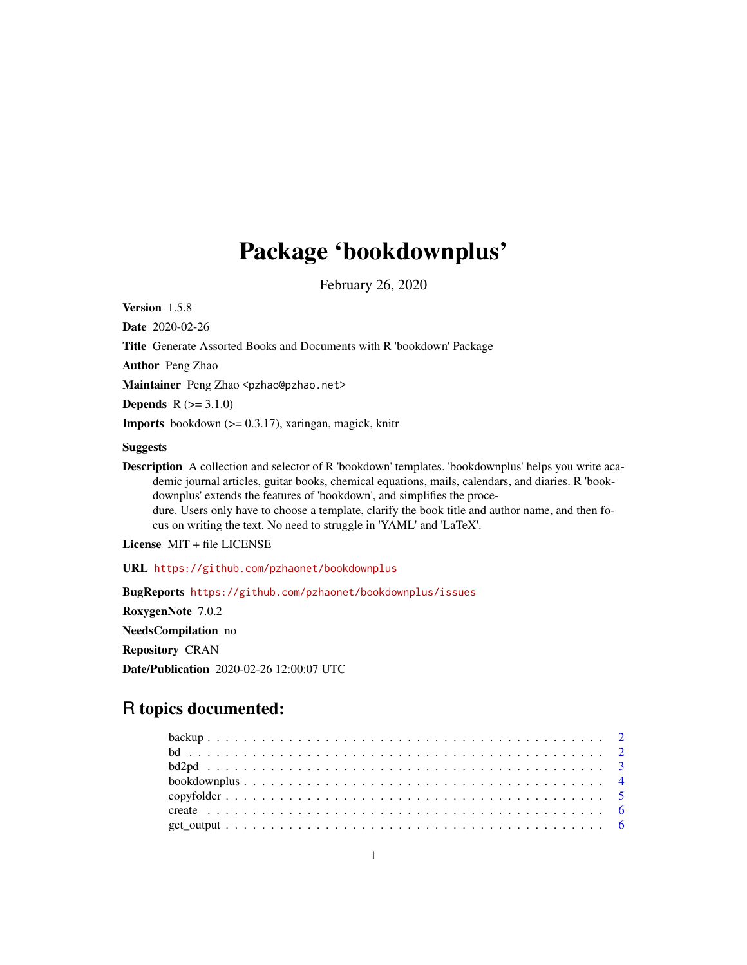## Package 'bookdownplus'

February 26, 2020

Version 1.5.8

Date 2020-02-26

Title Generate Assorted Books and Documents with R 'bookdown' Package

Author Peng Zhao

Maintainer Peng Zhao <pzhao@pzhao.net>

**Depends**  $R (=3.1.0)$ 

**Imports** bookdown  $(>= 0.3.17)$ , xaringan, magick, knitr

#### Suggests

Description A collection and selector of R 'bookdown' templates. 'bookdownplus' helps you write academic journal articles, guitar books, chemical equations, mails, calendars, and diaries. R 'bookdownplus' extends the features of 'bookdown', and simplifies the procedure. Users only have to choose a template, clarify the book title and author name, and then focus on writing the text. No need to struggle in 'YAML' and 'LaTeX'.

License MIT + file LICENSE

URL <https://github.com/pzhaonet/bookdownplus>

BugReports <https://github.com/pzhaonet/bookdownplus/issues> RoxygenNote 7.0.2 NeedsCompilation no Repository CRAN Date/Publication 2020-02-26 12:00:07 UTC

### R topics documented: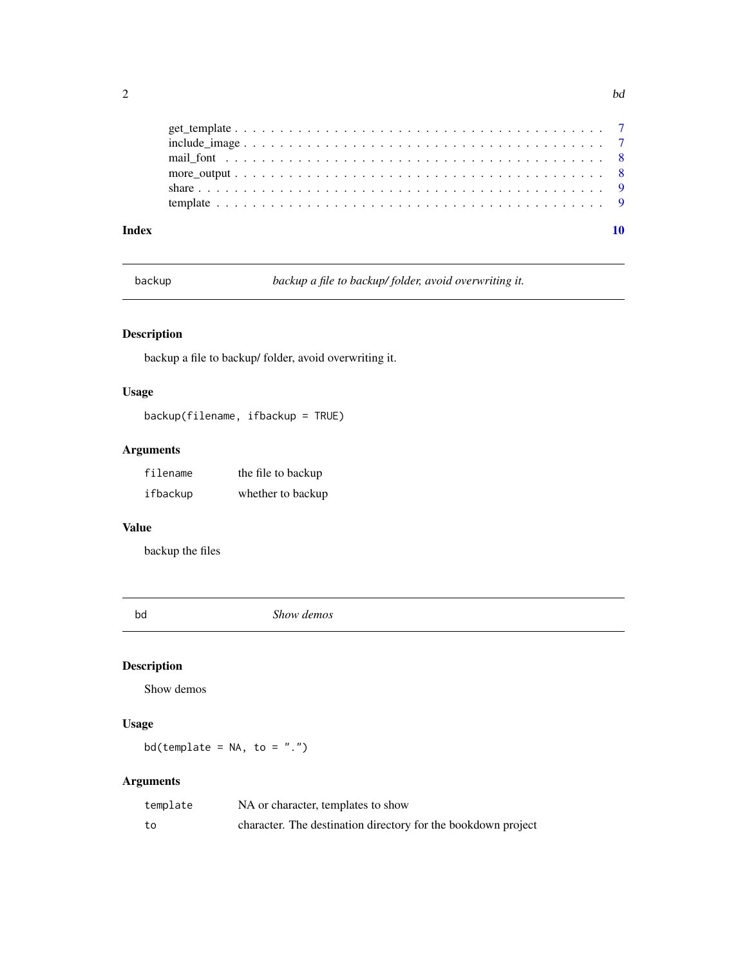| <b>March Marchandeler</b> |  |  |  |  |  |  |
|---------------------------|--|--|--|--|--|--|

<span id="page-1-0"></span>

| Index |  |  |  |  |  |  |  |  |  |  |  |  |  |  |  |  |  |  |
|-------|--|--|--|--|--|--|--|--|--|--|--|--|--|--|--|--|--|--|
|       |  |  |  |  |  |  |  |  |  |  |  |  |  |  |  |  |  |  |
|       |  |  |  |  |  |  |  |  |  |  |  |  |  |  |  |  |  |  |
|       |  |  |  |  |  |  |  |  |  |  |  |  |  |  |  |  |  |  |
|       |  |  |  |  |  |  |  |  |  |  |  |  |  |  |  |  |  |  |
|       |  |  |  |  |  |  |  |  |  |  |  |  |  |  |  |  |  |  |
|       |  |  |  |  |  |  |  |  |  |  |  |  |  |  |  |  |  |  |

backup *backup a file to backup/ folder, avoid overwriting it.*

#### Description

backup a file to backup/ folder, avoid overwriting it.

#### Usage

backup(filename, ifbackup = TRUE)

#### Arguments

| filename | the file to backup |
|----------|--------------------|
| ifbackup | whether to backup  |

#### Value

backup the files

bd *Show demos*

#### Description

Show demos

#### Usage

bd(template =  $NA$ , to = ".")

#### Arguments

| template | NA or character, templates to show                            |
|----------|---------------------------------------------------------------|
| to       | character. The destination directory for the bookdown project |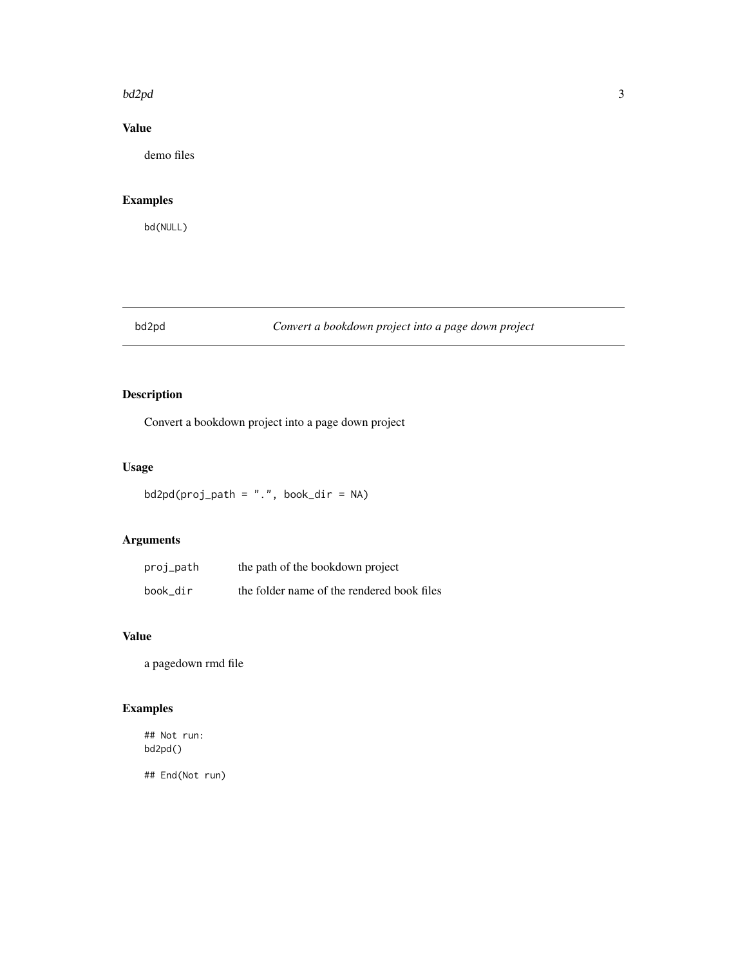#### <span id="page-2-0"></span>bd2pd 3

#### Value

demo files

#### Examples

bd(NULL)

#### bd2pd *Convert a bookdown project into a page down project*

#### Description

Convert a bookdown project into a page down project

#### Usage

 $bd2pd(proj$ <sub>-</sub>path = ".", book\_dir = NA)

#### Arguments

| proj_path | the path of the bookdown project           |
|-----------|--------------------------------------------|
| book dir  | the folder name of the rendered book files |

#### Value

a pagedown rmd file

#### Examples

## Not run: bd2pd()

## End(Not run)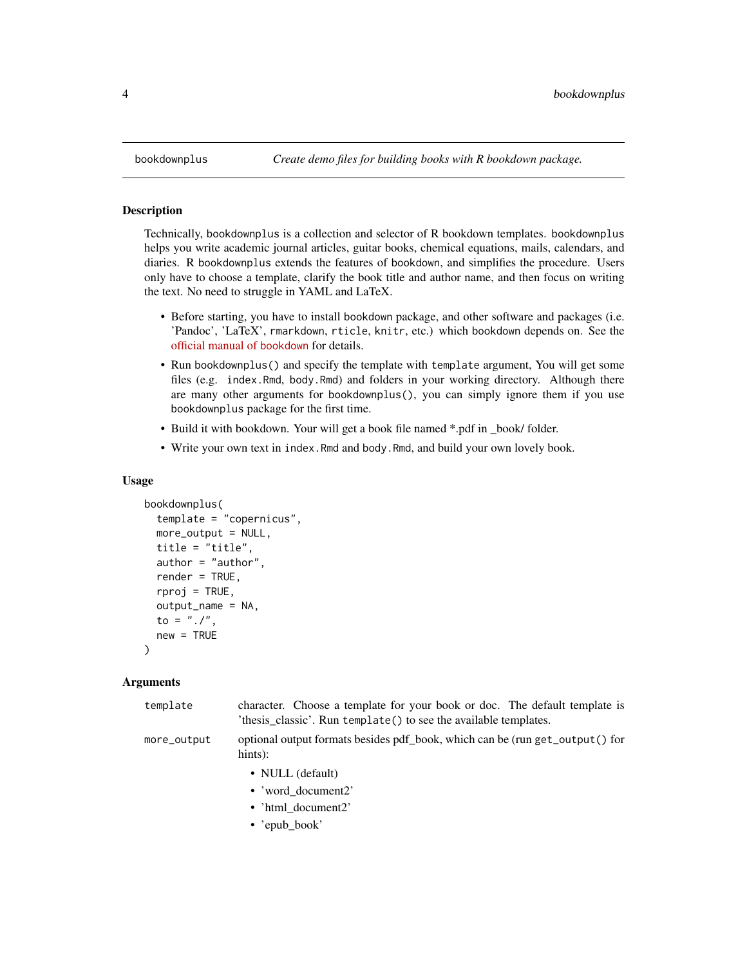Technically, bookdownplus is a collection and selector of R bookdown templates. bookdownplus helps you write academic journal articles, guitar books, chemical equations, mails, calendars, and diaries. R bookdownplus extends the features of bookdown, and simplifies the procedure. Users only have to choose a template, clarify the book title and author name, and then focus on writing the text. No need to struggle in YAML and LaTeX.

- Before starting, you have to install bookdown package, and other software and packages (i.e. 'Pandoc', 'LaTeX', rmarkdown, rticle, knitr, etc.) which bookdown depends on. See the [official manual of](https://bookdown.org/yihui/bookdown/) bookdown for details.
- Run bookdownplus() and specify the template with template argument, You will get some files (e.g. index.Rmd, body.Rmd) and folders in your working directory. Although there are many other arguments for bookdownplus(), you can simply ignore them if you use bookdownplus package for the first time.
- Build it with bookdown. Your will get a book file named \*.pdf in \_book/ folder.
- Write your own text in index. Rmd and body. Rmd, and build your own lovely book.

#### Usage

```
bookdownplus(
  template = "copernicus",
 more\_output = NULL,title = "title",
  author = "author",
  render = TRUE,
  rproj = TRUE,
  output_name = NA,
  to = "./".new = TRUE)
```
#### Arguments

| template    | character. Choose a template for your book or doc. The default template is<br>'thesis_classic'. Run template() to see the available templates. |
|-------------|------------------------------------------------------------------------------------------------------------------------------------------------|
| more_output | optional output formats besides pdf_book, which can be (run get_output() for<br>$hints$ :                                                      |
|             | • NULL (default)<br>• 'word document2'<br>• 'html document2'<br>• 'epub_book'                                                                  |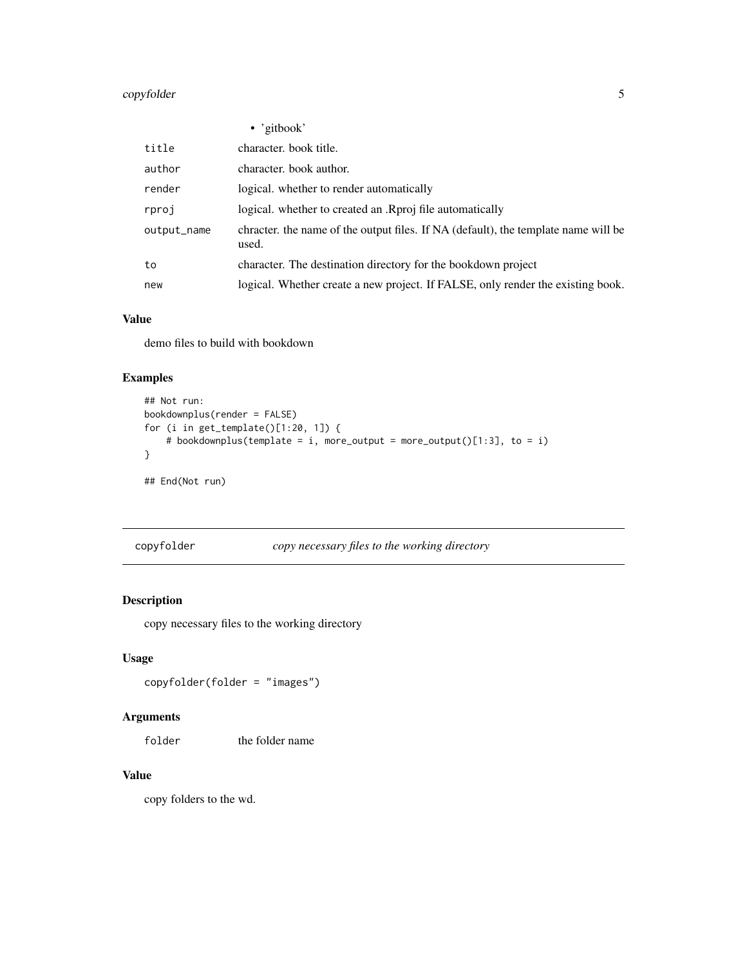#### <span id="page-4-0"></span>copyfolder 5

|             | $\bullet$ 'gitbook'                                                                         |
|-------------|---------------------------------------------------------------------------------------------|
| title       | character, book title.                                                                      |
| author      | character, book author.                                                                     |
| render      | logical. whether to render automatically                                                    |
| rproj       | logical. whether to created an .Rproj file automatically                                    |
| output_name | chracter, the name of the output files. If NA (default), the template name will be<br>used. |
| to          | character. The destination directory for the bookdown project                               |
| new         | logical. Whether create a new project. If FALSE, only render the existing book.             |

#### Value

demo files to build with bookdown

#### Examples

```
## Not run:
bookdownplus(render = FALSE)
for (i in get_template()[1:20, 1]) {
    # bookdownplus(template = i, more_output = more_output()[1:3], to = i)
}
## End(Not run)
```
copyfolder *copy necessary files to the working directory*

#### Description

copy necessary files to the working directory

#### Usage

copyfolder(folder = "images")

#### Arguments

folder the folder name

#### Value

copy folders to the wd.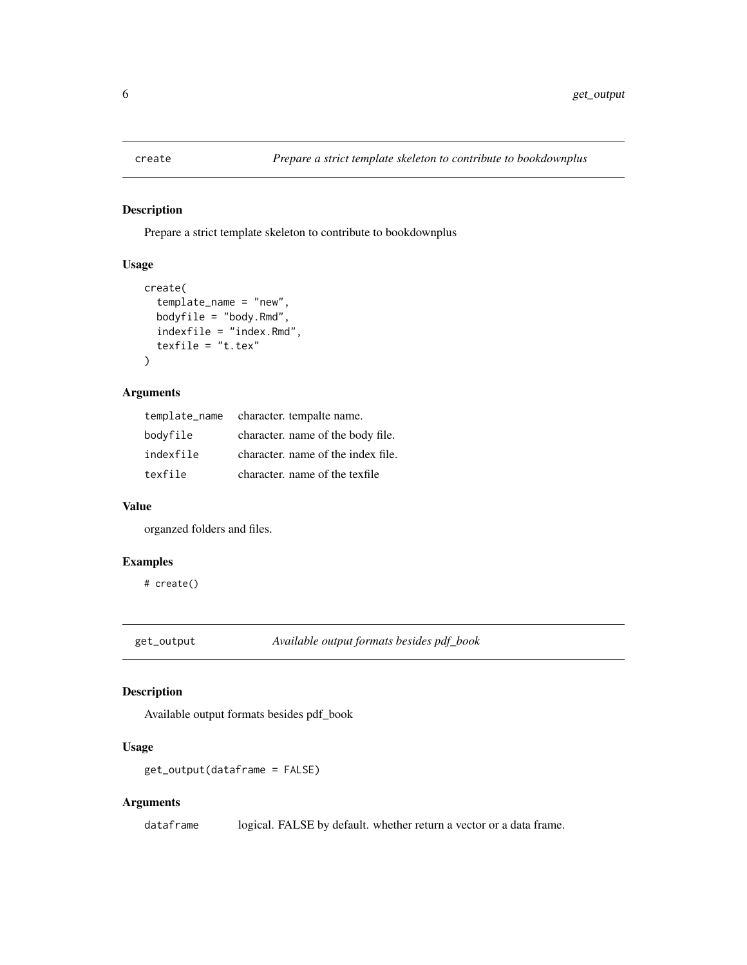<span id="page-5-0"></span>

Prepare a strict template skeleton to contribute to bookdownplus

#### Usage

```
create(
  template_name = "new",
 bodyfile = "body.Rmd",
  indexfile = "index.Rmd",
  texfile = "t.tex"
)
```
#### Arguments

|           | template_name character. tempalte name. |
|-----------|-----------------------------------------|
| bodyfile  | character, name of the body file.       |
| indexfile | character, name of the index file.      |
| texfile   | character, name of the texfile          |

#### Value

organzed folders and files.

#### Examples

# create()

get\_output *Available output formats besides pdf\_book*

#### Description

Available output formats besides pdf\_book

#### Usage

```
get_output(dataframe = FALSE)
```
#### Arguments

dataframe logical. FALSE by default. whether return a vector or a data frame.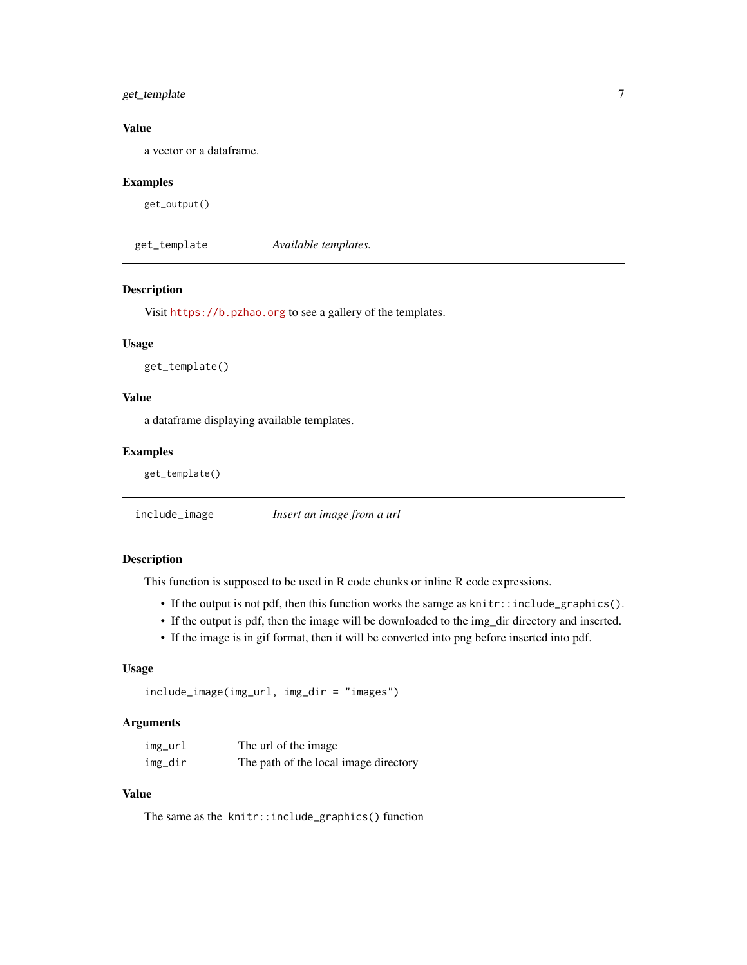#### <span id="page-6-0"></span>get\_template 7

#### Value

a vector or a dataframe.

#### Examples

get\_output()

get\_template *Available templates.*

#### Description

Visit <https://b.pzhao.org> to see a gallery of the templates.

#### Usage

get\_template()

#### Value

a dataframe displaying available templates.

#### Examples

get\_template()

include\_image *Insert an image from a url*

#### Description

This function is supposed to be used in R code chunks or inline R code expressions.

- If the output is not pdf, then this function works the samge as knitr::include\_graphics().
- If the output is pdf, then the image will be downloaded to the img\_dir directory and inserted.
- If the image is in gif format, then it will be converted into png before inserted into pdf.

#### Usage

```
include_image(img_url, img_dir = "images")
```
#### Arguments

| img_url | The url of the image                  |
|---------|---------------------------------------|
| img_dir | The path of the local image directory |

#### Value

The same as the knitr::include\_graphics() function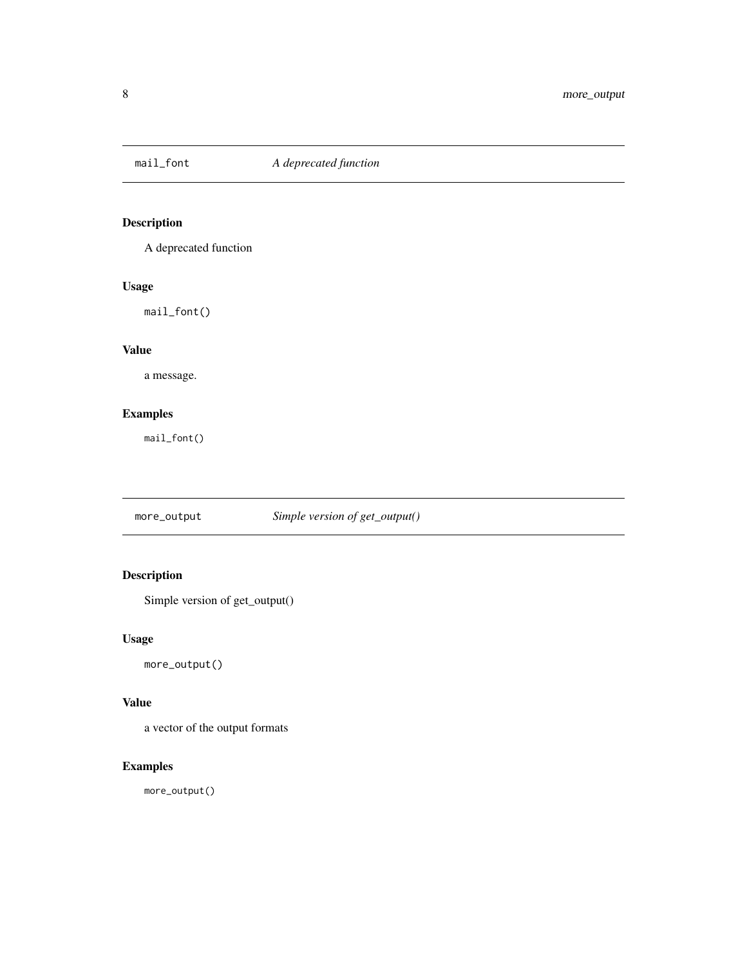<span id="page-7-0"></span>

A deprecated function

#### Usage

mail\_font()

#### Value

a message.

#### Examples

mail\_font()

more\_output *Simple version of get\_output()*

#### Description

Simple version of get\_output()

#### Usage

more\_output()

#### Value

a vector of the output formats

#### Examples

more\_output()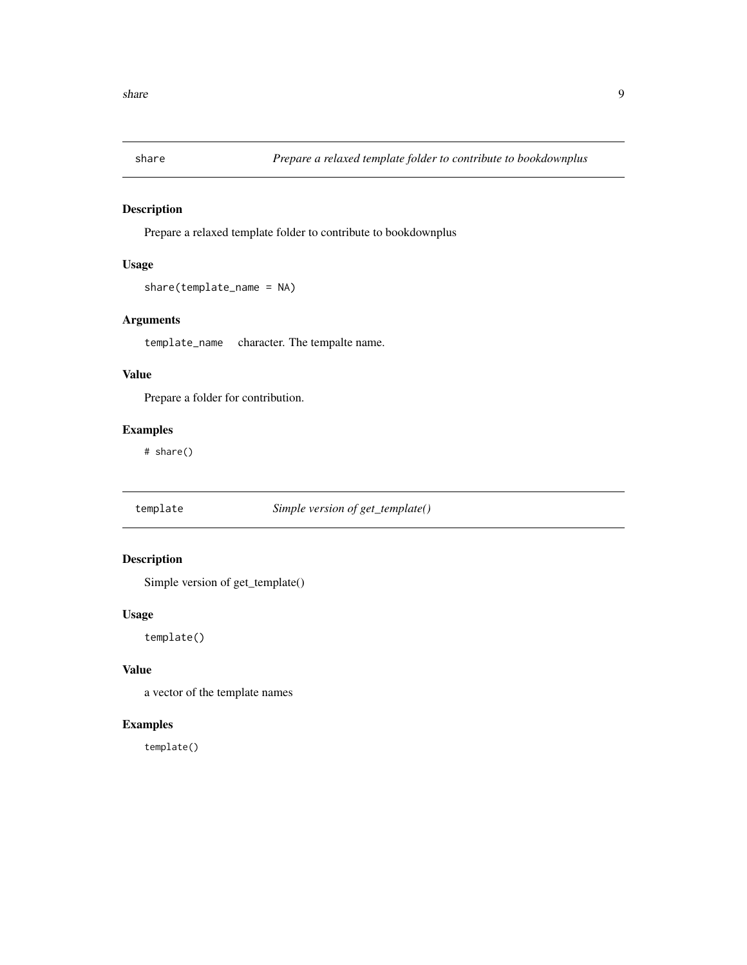<span id="page-8-0"></span>

Prepare a relaxed template folder to contribute to bookdownplus

#### Usage

```
share(template_name = NA)
```
#### Arguments

template\_name character. The tempalte name.

#### Value

Prepare a folder for contribution.

#### Examples

# share()

template *Simple version of get\_template()*

#### Description

Simple version of get\_template()

#### Usage

template()

#### Value

a vector of the template names

#### Examples

template()